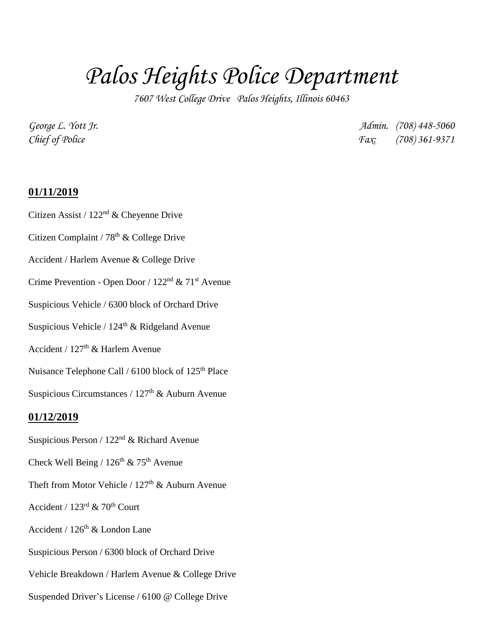## *Palos Heights Police Department*

*7607 West College Drive Palos Heights, Illinois 60463*

*George L. Yott Jr. Admin. (708) 448-5060 Chief of Police Fax: (708) 361-9371*

## **01/11/2019**

- Citizen Assist / 122nd & Cheyenne Drive
- Citizen Complaint /  $78<sup>th</sup>$  & College Drive
- Accident / Harlem Avenue & College Drive
- Crime Prevention Open Door /  $122<sup>nd</sup>$  &  $71<sup>st</sup>$  Avenue
- Suspicious Vehicle / 6300 block of Orchard Drive
- Suspicious Vehicle /  $124<sup>th</sup>$  & Ridgeland Avenue
- Accident /  $127<sup>th</sup>$  & Harlem Avenue
- Nuisance Telephone Call / 6100 block of 125<sup>th</sup> Place
- Suspicious Circumstances /  $127<sup>th</sup>$  & Auburn Avenue

## **01/12/2019**

- Suspicious Person /  $122^{\rm nd}$  & Richard Avenue
- Check Well Being /  $126<sup>th</sup>$  &  $75<sup>th</sup>$  Avenue
- Theft from Motor Vehicle /  $127<sup>th</sup>$  & Auburn Avenue
- Accident /  $123^{\text{rd}}$  &  $70^{\text{th}}$  Court
- Accident /  $126<sup>th</sup>$  & London Lane
- Suspicious Person / 6300 block of Orchard Drive
- Vehicle Breakdown / Harlem Avenue & College Drive
- Suspended Driver's License / 6100 @ College Drive